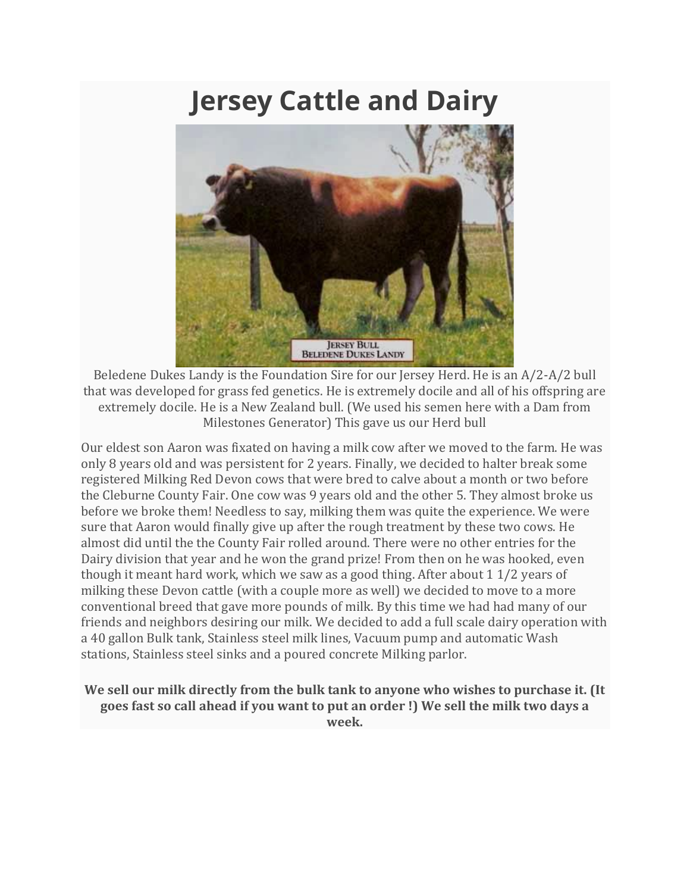## **Jersey Cattle and Dairy**



Beledene Dukes Landy is the Foundation Sire for our Jersey Herd. He is an A/2-A/2 bull that was developed for grass fed genetics. He is extremely docile and all of his offspring are extremely docile. He is a New Zealand bull. (We used his semen here with a Dam from Milestones Generator) This gave us our Herd bull

Our eldest son Aaron was fixated on having a milk cow after we moved to the farm. He was only 8 years old and was persistent for 2 years. Finally, we decided to halter break some registered Milking Red Devon cows that were bred to calve about a month or two before the Cleburne County Fair. One cow was 9 years old and the other 5. They almost broke us before we broke them! Needless to say, milking them was quite the experience. We were sure that Aaron would finally give up after the rough treatment by these two cows. He almost did until the the County Fair rolled around. There were no other entries for the Dairy division that year and he won the grand prize! From then on he was hooked, even though it meant hard work, which we saw as a good thing. After about 1 1/2 years of milking these Devon cattle (with a couple more as well) we decided to move to a more conventional breed that gave more pounds of milk. By this time we had had many of our friends and neighbors desiring our milk. We decided to add a full scale dairy operation with a 40 gallon Bulk tank, Stainless steel milk lines, Vacuum pump and automatic Wash stations, Stainless steel sinks and a poured concrete Milking parlor.

## **We sell our milk directly from the bulk tank to anyone who wishes to purchase it. (It goes fast so call ahead if you want to put an order !) We sell the milk two days a week.**